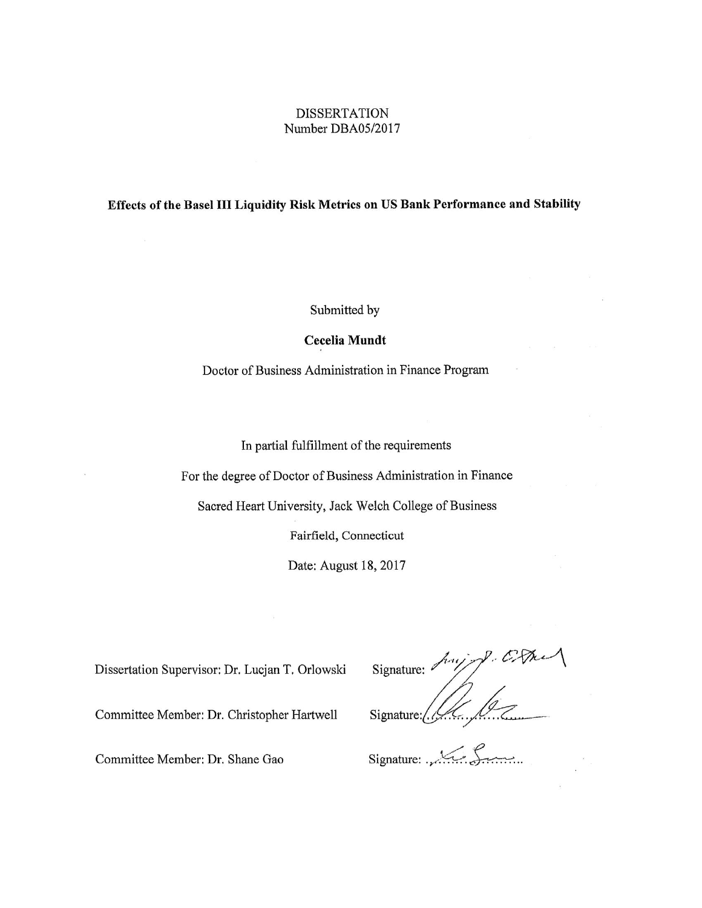#### **DISSERTATION** Number DBA05/2017

#### Effects of the Basel III Liquidity Risk Metrics on US Bank Performance and Stability

Submitted by

#### Cecelia Mundt

Doctor of Business Administration in Finance Program

In partial fulfillment of the requirements

For the degree of Doctor of Business Administration in Finance

Sacred Heart University, Jack Welch College of Business

Fairfield, Connecticut

Date: August 18, 2017

Dissertation Supervisor: Dr. Lucjan T. Orlowski

Signature:  $\sqrt{\frac{2}{\sqrt{2}}\cdot 1}$ 

Committee Member: Dr. Christopher Hartwell

Signature

Committee Member: Dr. Shane Gao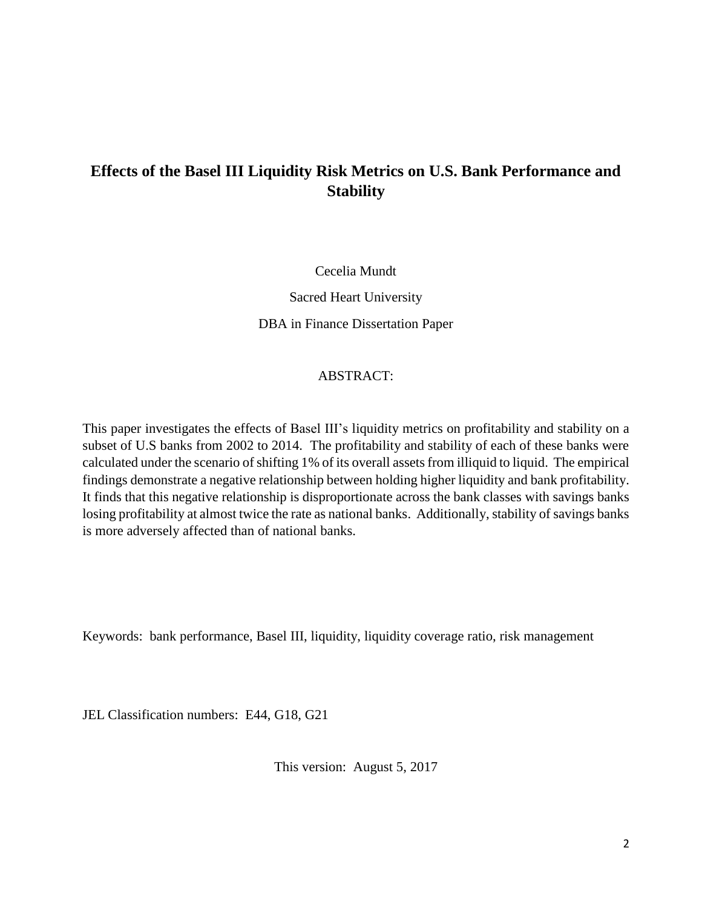### **Effects of the Basel III Liquidity Risk Metrics on U.S. Bank Performance and Stability**

Cecelia Mundt

Sacred Heart University DBA in Finance Dissertation Paper

#### ABSTRACT:

This paper investigates the effects of Basel III's liquidity metrics on profitability and stability on a subset of U.S banks from 2002 to 2014. The profitability and stability of each of these banks were calculated under the scenario of shifting 1% of its overall assets from illiquid to liquid. The empirical findings demonstrate a negative relationship between holding higher liquidity and bank profitability. It finds that this negative relationship is disproportionate across the bank classes with savings banks losing profitability at almost twice the rate as national banks. Additionally, stability of savings banks is more adversely affected than of national banks.

Keywords: bank performance, Basel III, liquidity, liquidity coverage ratio, risk management

JEL Classification numbers: E44, G18, G21

This version: August 5, 2017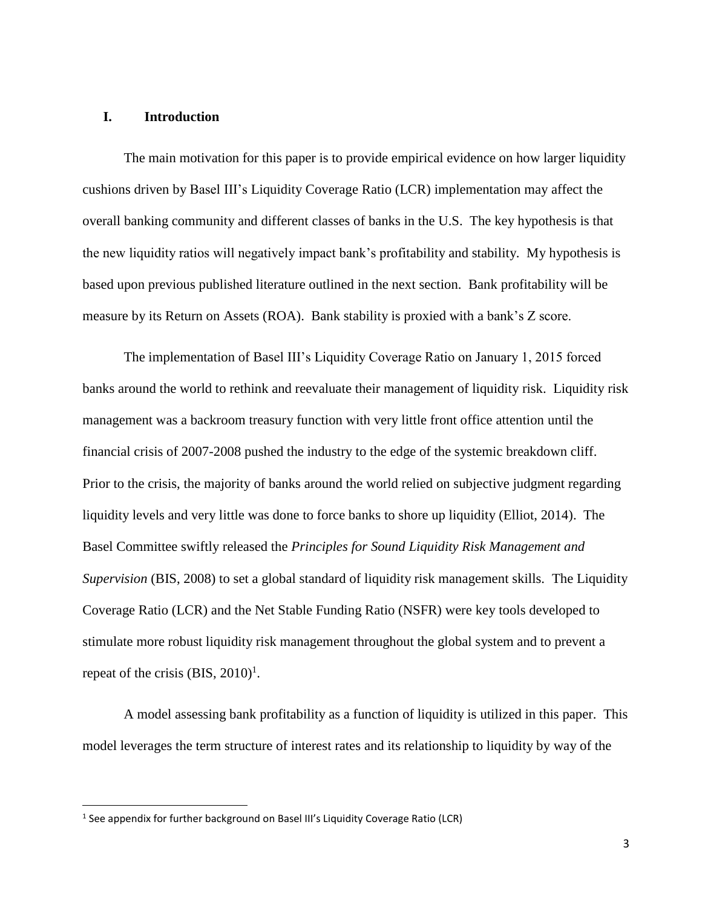#### **I. Introduction**

The main motivation for this paper is to provide empirical evidence on how larger liquidity cushions driven by Basel III's Liquidity Coverage Ratio (LCR) implementation may affect the overall banking community and different classes of banks in the U.S. The key hypothesis is that the new liquidity ratios will negatively impact bank's profitability and stability. My hypothesis is based upon previous published literature outlined in the next section. Bank profitability will be measure by its Return on Assets (ROA). Bank stability is proxied with a bank's Z score.

The implementation of Basel III's Liquidity Coverage Ratio on January 1, 2015 forced banks around the world to rethink and reevaluate their management of liquidity risk. Liquidity risk management was a backroom treasury function with very little front office attention until the financial crisis of 2007-2008 pushed the industry to the edge of the systemic breakdown cliff. Prior to the crisis, the majority of banks around the world relied on subjective judgment regarding liquidity levels and very little was done to force banks to shore up liquidity (Elliot, 2014). The Basel Committee swiftly released the *Principles for Sound Liquidity Risk Management and Supervision* (BIS, 2008) to set a global standard of liquidity risk management skills. The Liquidity Coverage Ratio (LCR) and the Net Stable Funding Ratio (NSFR) were key tools developed to stimulate more robust liquidity risk management throughout the global system and to prevent a repeat of the crisis  $(BIS, 2010)^1$ .

A model assessing bank profitability as a function of liquidity is utilized in this paper. This model leverages the term structure of interest rates and its relationship to liquidity by way of the

 $\overline{\phantom{a}}$ 

<sup>&</sup>lt;sup>1</sup> See appendix for further background on Basel III's Liquidity Coverage Ratio (LCR)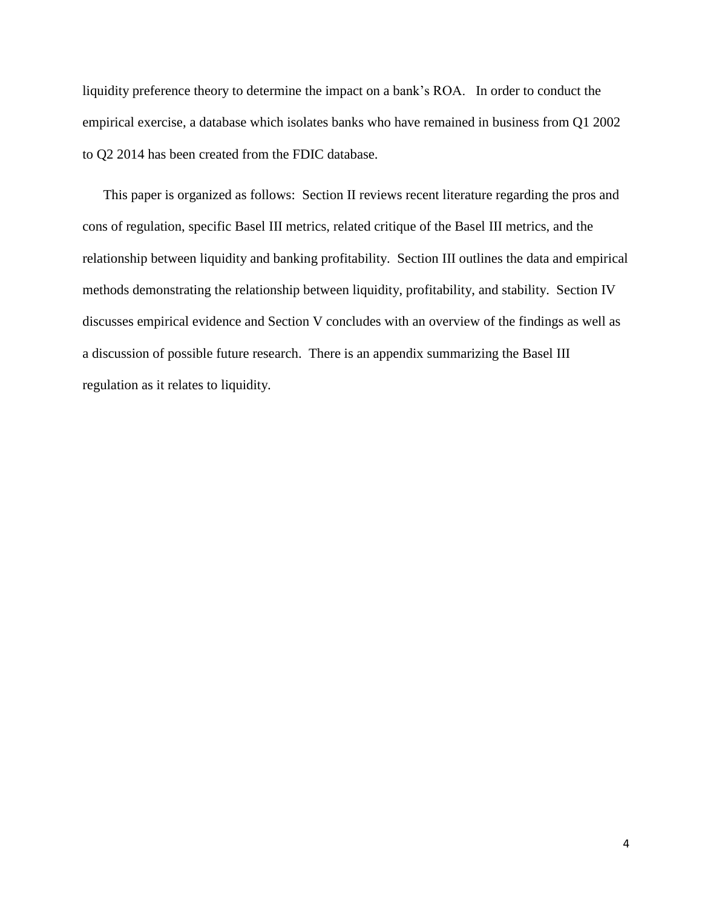liquidity preference theory to determine the impact on a bank's ROA. In order to conduct the empirical exercise, a database which isolates banks who have remained in business from Q1 2002 to Q2 2014 has been created from the FDIC database.

This paper is organized as follows: Section II reviews recent literature regarding the pros and cons of regulation, specific Basel III metrics, related critique of the Basel III metrics, and the relationship between liquidity and banking profitability. Section III outlines the data and empirical methods demonstrating the relationship between liquidity, profitability, and stability. Section IV discusses empirical evidence and Section V concludes with an overview of the findings as well as a discussion of possible future research. There is an appendix summarizing the Basel III regulation as it relates to liquidity.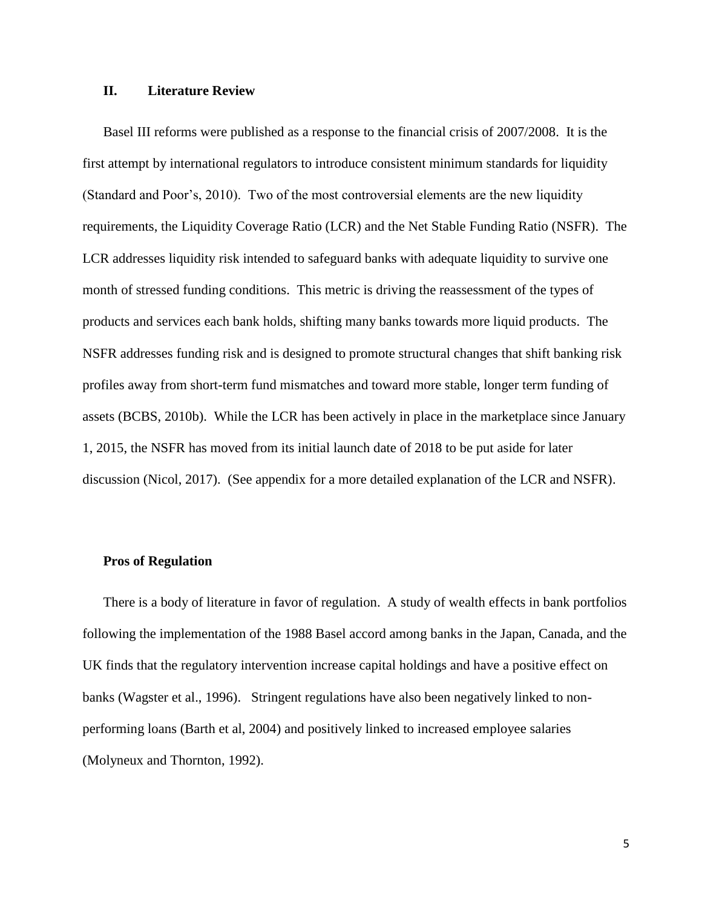#### **II. Literature Review**

Basel III reforms were published as a response to the financial crisis of 2007/2008. It is the first attempt by international regulators to introduce consistent minimum standards for liquidity (Standard and Poor's, 2010). Two of the most controversial elements are the new liquidity requirements, the Liquidity Coverage Ratio (LCR) and the Net Stable Funding Ratio (NSFR). The LCR addresses liquidity risk intended to safeguard banks with adequate liquidity to survive one month of stressed funding conditions. This metric is driving the reassessment of the types of products and services each bank holds, shifting many banks towards more liquid products. The NSFR addresses funding risk and is designed to promote structural changes that shift banking risk profiles away from short-term fund mismatches and toward more stable, longer term funding of assets (BCBS, 2010b). While the LCR has been actively in place in the marketplace since January 1, 2015, the NSFR has moved from its initial launch date of 2018 to be put aside for later discussion (Nicol, 2017). (See appendix for a more detailed explanation of the LCR and NSFR).

#### **Pros of Regulation**

There is a body of literature in favor of regulation. A study of wealth effects in bank portfolios following the implementation of the 1988 Basel accord among banks in the Japan, Canada, and the UK finds that the regulatory intervention increase capital holdings and have a positive effect on banks (Wagster et al., 1996). Stringent regulations have also been negatively linked to nonperforming loans (Barth et al, 2004) and positively linked to increased employee salaries (Molyneux and Thornton, 1992).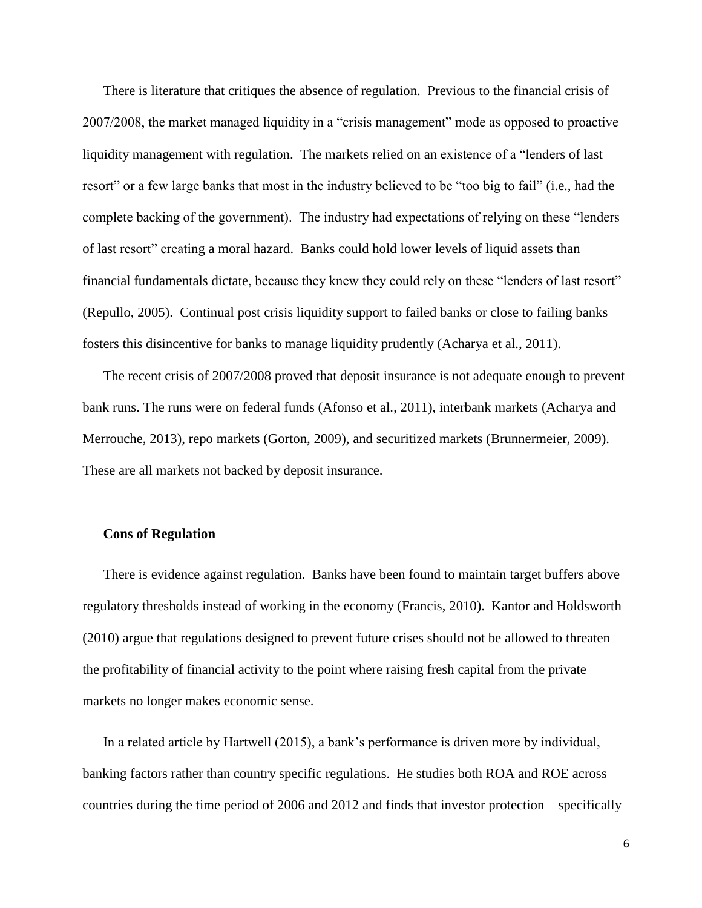There is literature that critiques the absence of regulation. Previous to the financial crisis of 2007/2008, the market managed liquidity in a "crisis management" mode as opposed to proactive liquidity management with regulation. The markets relied on an existence of a "lenders of last resort" or a few large banks that most in the industry believed to be "too big to fail" (i.e., had the complete backing of the government). The industry had expectations of relying on these "lenders of last resort" creating a moral hazard. Banks could hold lower levels of liquid assets than financial fundamentals dictate, because they knew they could rely on these "lenders of last resort" (Repullo, 2005). Continual post crisis liquidity support to failed banks or close to failing banks fosters this disincentive for banks to manage liquidity prudently (Acharya et al., 2011).

The recent crisis of 2007/2008 proved that deposit insurance is not adequate enough to prevent bank runs. The runs were on federal funds (Afonso et al., 2011), interbank markets (Acharya and Merrouche, 2013), repo markets (Gorton, 2009), and securitized markets (Brunnermeier, 2009). These are all markets not backed by deposit insurance.

#### **Cons of Regulation**

There is evidence against regulation. Banks have been found to maintain target buffers above regulatory thresholds instead of working in the economy (Francis, 2010). Kantor and Holdsworth (2010) argue that regulations designed to prevent future crises should not be allowed to threaten the profitability of financial activity to the point where raising fresh capital from the private markets no longer makes economic sense.

In a related article by Hartwell (2015), a bank's performance is driven more by individual, banking factors rather than country specific regulations. He studies both ROA and ROE across countries during the time period of 2006 and 2012 and finds that investor protection – specifically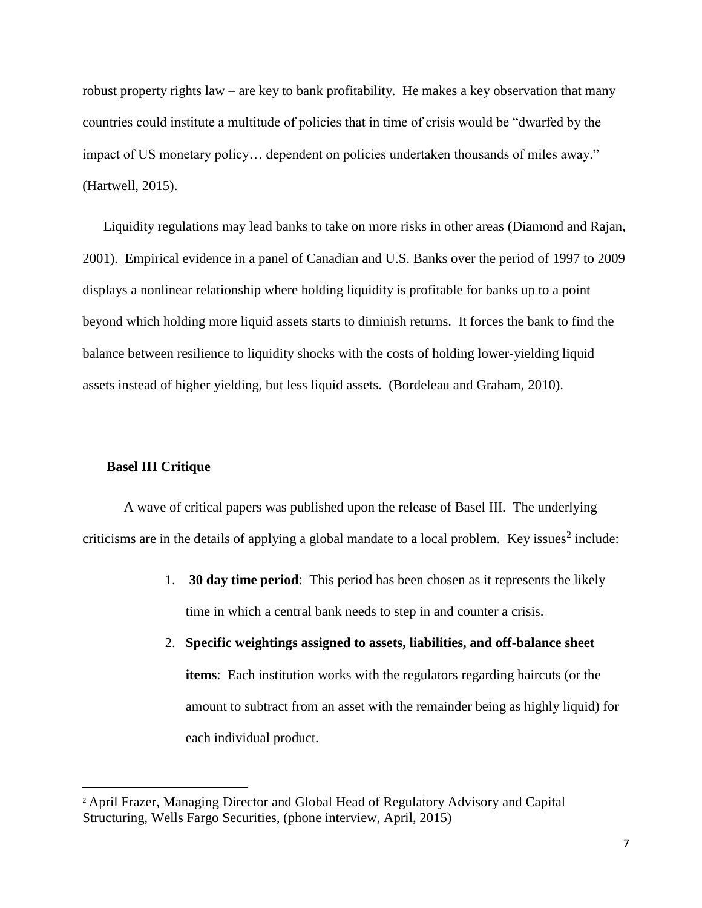robust property rights law – are key to bank profitability. He makes a key observation that many countries could institute a multitude of policies that in time of crisis would be "dwarfed by the impact of US monetary policy… dependent on policies undertaken thousands of miles away." (Hartwell, 2015).

Liquidity regulations may lead banks to take on more risks in other areas (Diamond and Rajan, 2001). Empirical evidence in a panel of Canadian and U.S. Banks over the period of 1997 to 2009 displays a nonlinear relationship where holding liquidity is profitable for banks up to a point beyond which holding more liquid assets starts to diminish returns. It forces the bank to find the balance between resilience to liquidity shocks with the costs of holding lower-yielding liquid assets instead of higher yielding, but less liquid assets. (Bordeleau and Graham, 2010).

#### **Basel III Critique**

 $\overline{\phantom{a}}$ 

A wave of critical papers was published upon the release of Basel III. The underlying criticisms are in the details of applying a global mandate to a local problem. Key issues<sup>2</sup> include:

- 1. **30 day time period**: This period has been chosen as it represents the likely time in which a central bank needs to step in and counter a crisis.
- 2. **Specific weightings assigned to assets, liabilities, and off-balance sheet items**: Each institution works with the regulators regarding haircuts (or the amount to subtract from an asset with the remainder being as highly liquid) for each individual product.

<sup>2</sup> April Frazer, Managing Director and Global Head of Regulatory Advisory and Capital Structuring, Wells Fargo Securities, (phone interview, April, 2015)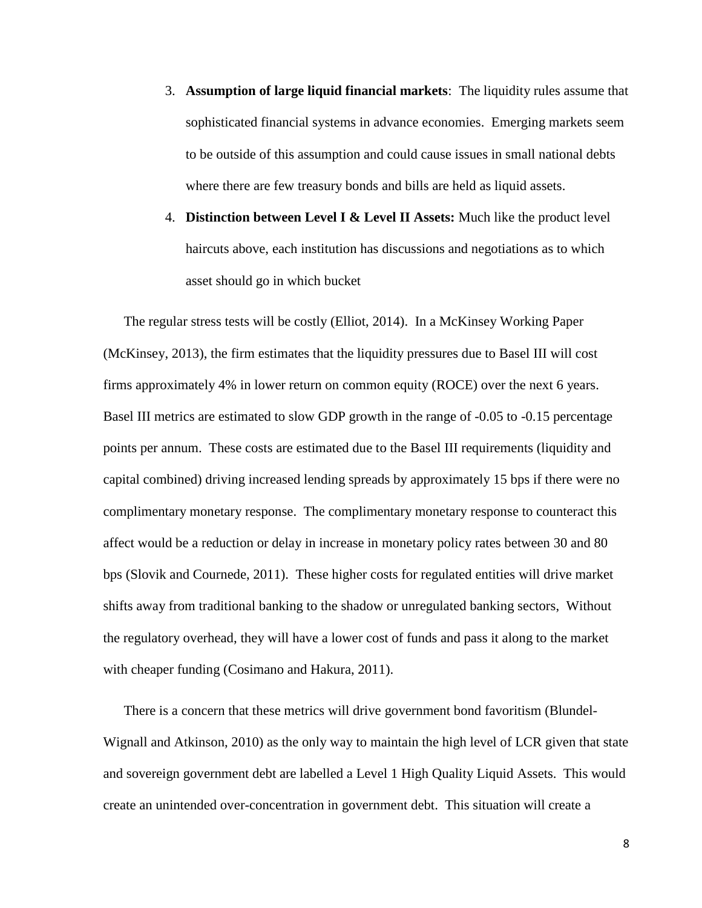- 3. **Assumption of large liquid financial markets**: The liquidity rules assume that sophisticated financial systems in advance economies. Emerging markets seem to be outside of this assumption and could cause issues in small national debts where there are few treasury bonds and bills are held as liquid assets.
- 4. **Distinction between Level I & Level II Assets:** Much like the product level haircuts above, each institution has discussions and negotiations as to which asset should go in which bucket

The regular stress tests will be costly (Elliot, 2014). In a McKinsey Working Paper (McKinsey, 2013), the firm estimates that the liquidity pressures due to Basel III will cost firms approximately 4% in lower return on common equity (ROCE) over the next 6 years. Basel III metrics are estimated to slow GDP growth in the range of -0.05 to -0.15 percentage points per annum. These costs are estimated due to the Basel III requirements (liquidity and capital combined) driving increased lending spreads by approximately 15 bps if there were no complimentary monetary response. The complimentary monetary response to counteract this affect would be a reduction or delay in increase in monetary policy rates between 30 and 80 bps (Slovik and Cournede, 2011). These higher costs for regulated entities will drive market shifts away from traditional banking to the shadow or unregulated banking sectors, Without the regulatory overhead, they will have a lower cost of funds and pass it along to the market with cheaper funding (Cosimano and Hakura, 2011).

There is a concern that these metrics will drive government bond favoritism (Blundel-Wignall and Atkinson, 2010) as the only way to maintain the high level of LCR given that state and sovereign government debt are labelled a Level 1 High Quality Liquid Assets. This would create an unintended over-concentration in government debt. This situation will create a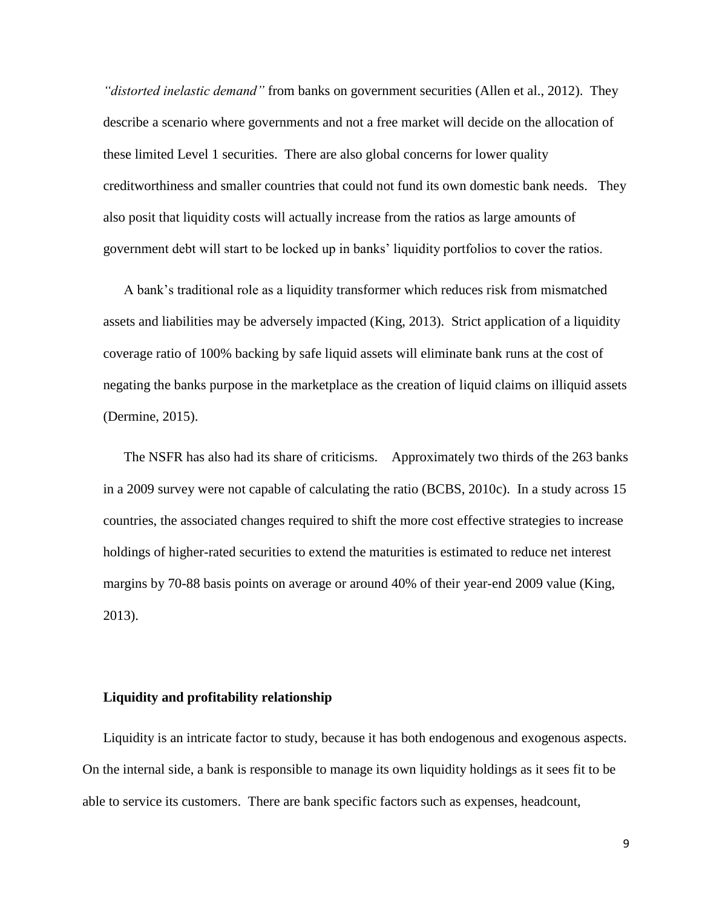*"distorted inelastic demand"* from banks on government securities (Allen et al., 2012). They describe a scenario where governments and not a free market will decide on the allocation of these limited Level 1 securities. There are also global concerns for lower quality creditworthiness and smaller countries that could not fund its own domestic bank needs. They also posit that liquidity costs will actually increase from the ratios as large amounts of government debt will start to be locked up in banks' liquidity portfolios to cover the ratios.

A bank's traditional role as a liquidity transformer which reduces risk from mismatched assets and liabilities may be adversely impacted (King, 2013). Strict application of a liquidity coverage ratio of 100% backing by safe liquid assets will eliminate bank runs at the cost of negating the banks purpose in the marketplace as the creation of liquid claims on illiquid assets (Dermine, 2015).

The NSFR has also had its share of criticisms. Approximately two thirds of the 263 banks in a 2009 survey were not capable of calculating the ratio (BCBS, 2010c). In a study across 15 countries, the associated changes required to shift the more cost effective strategies to increase holdings of higher-rated securities to extend the maturities is estimated to reduce net interest margins by 70-88 basis points on average or around 40% of their year-end 2009 value (King, 2013).

#### **Liquidity and profitability relationship**

Liquidity is an intricate factor to study, because it has both endogenous and exogenous aspects. On the internal side, a bank is responsible to manage its own liquidity holdings as it sees fit to be able to service its customers. There are bank specific factors such as expenses, headcount,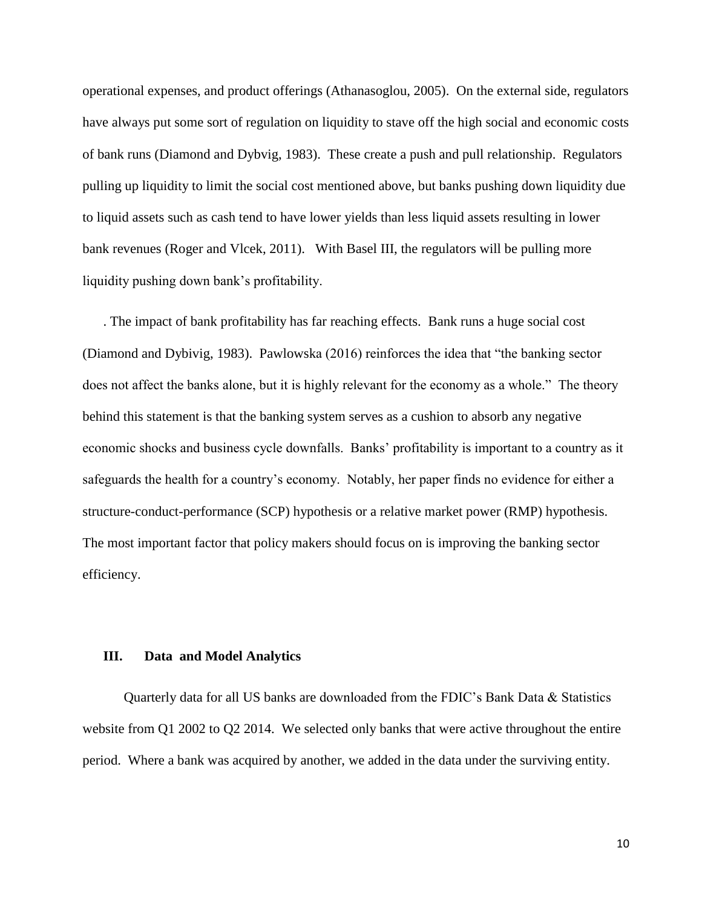operational expenses, and product offerings (Athanasoglou, 2005). On the external side, regulators have always put some sort of regulation on liquidity to stave off the high social and economic costs of bank runs (Diamond and Dybvig, 1983). These create a push and pull relationship. Regulators pulling up liquidity to limit the social cost mentioned above, but banks pushing down liquidity due to liquid assets such as cash tend to have lower yields than less liquid assets resulting in lower bank revenues (Roger and Vlcek, 2011). With Basel III, the regulators will be pulling more liquidity pushing down bank's profitability.

. The impact of bank profitability has far reaching effects. Bank runs a huge social cost (Diamond and Dybivig, 1983). Pawlowska (2016) reinforces the idea that "the banking sector does not affect the banks alone, but it is highly relevant for the economy as a whole." The theory behind this statement is that the banking system serves as a cushion to absorb any negative economic shocks and business cycle downfalls. Banks' profitability is important to a country as it safeguards the health for a country's economy. Notably, her paper finds no evidence for either a structure-conduct-performance (SCP) hypothesis or a relative market power (RMP) hypothesis. The most important factor that policy makers should focus on is improving the banking sector efficiency.

#### **III. Data and Model Analytics**

Quarterly data for all US banks are downloaded from the FDIC's Bank Data & Statistics website from Q1 2002 to Q2 2014. We selected only banks that were active throughout the entire period. Where a bank was acquired by another, we added in the data under the surviving entity.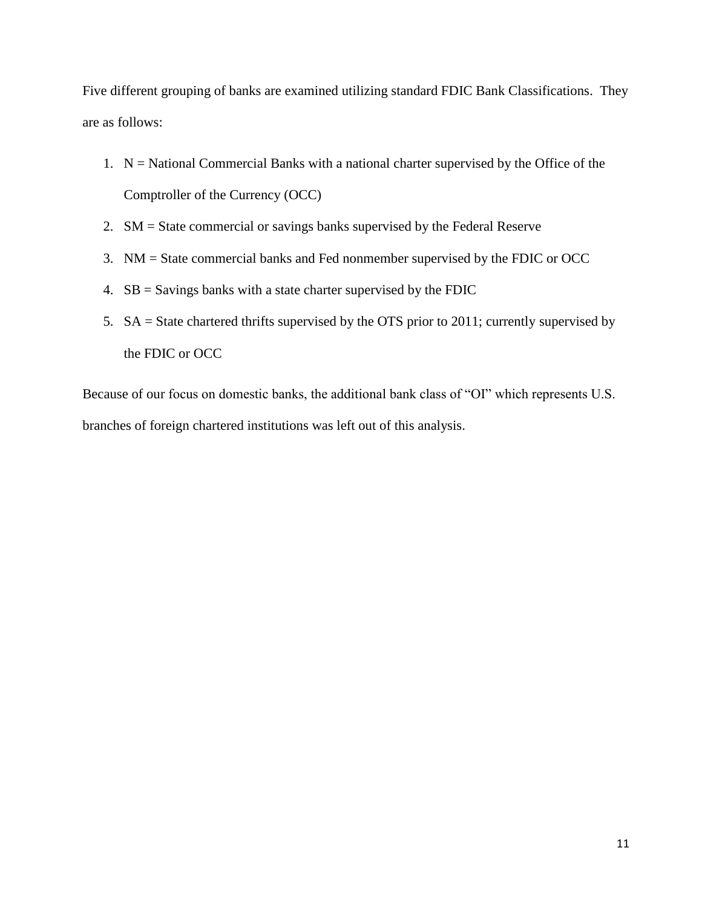Five different grouping of banks are examined utilizing standard FDIC Bank Classifications. They are as follows:

- 1.  $N =$  National Commercial Banks with a national charter supervised by the Office of the Comptroller of the Currency (OCC)
- 2. SM = State commercial or savings banks supervised by the Federal Reserve
- 3. NM = State commercial banks and Fed nonmember supervised by the FDIC or OCC
- 4. SB = Savings banks with a state charter supervised by the FDIC
- 5. SA = State chartered thrifts supervised by the OTS prior to 2011; currently supervised by the FDIC or OCC

Because of our focus on domestic banks, the additional bank class of "OI" which represents U.S. branches of foreign chartered institutions was left out of this analysis.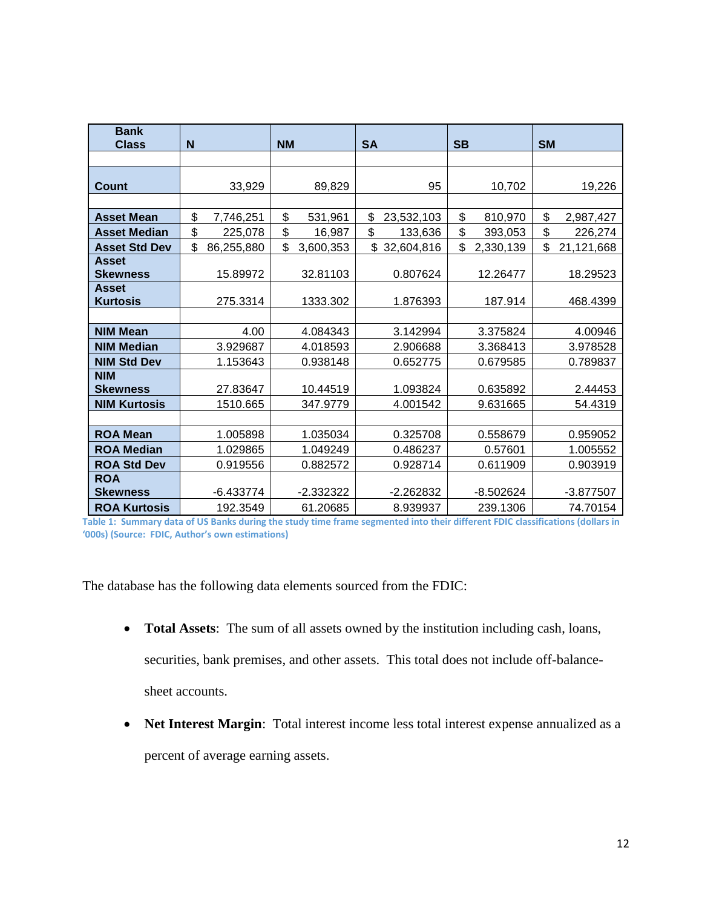| <b>Bank</b>                     |                  |                 |                  |                 |                  |
|---------------------------------|------------------|-----------------|------------------|-----------------|------------------|
| <b>Class</b>                    | N                | <b>NM</b>       | <b>SA</b>        | <b>SB</b>       | <b>SM</b>        |
|                                 |                  |                 |                  |                 |                  |
| Count                           | 33,929           | 89,829          | 95               | 10,702          | 19,226           |
|                                 |                  |                 |                  |                 |                  |
| <b>Asset Mean</b>               | \$<br>7,746,251  | \$<br>531,961   | \$<br>23,532,103 | \$<br>810,970   | \$<br>2,987,427  |
| <b>Asset Median</b>             | \$<br>225,078    | \$<br>16,987    | \$<br>133,636    | \$<br>393,053   | \$<br>226,274    |
| <b>Asset Std Dev</b>            | \$<br>86,255,880 | \$<br>3,600,353 | \$32,604,816     | \$<br>2,330,139 | \$<br>21,121,668 |
| <b>Asset</b>                    |                  |                 |                  |                 |                  |
| <b>Skewness</b><br><b>Asset</b> | 15.89972         | 32.81103        | 0.807624         | 12.26477        | 18.29523         |
| <b>Kurtosis</b>                 | 275.3314         | 1333.302        | 1.876393         | 187.914         | 468.4399         |
|                                 |                  |                 |                  |                 |                  |
| <b>NIM Mean</b>                 | 4.00             | 4.084343        | 3.142994         | 3.375824        | 4.00946          |
| <b>NIM Median</b>               | 3.929687         | 4.018593        | 2.906688         | 3.368413        | 3.978528         |
| <b>NIM Std Dev</b>              | 1.153643         | 0.938148        | 0.652775         | 0.679585        | 0.789837         |
| <b>NIM</b>                      |                  |                 |                  |                 |                  |
| <b>Skewness</b>                 | 27.83647         | 10.44519        | 1.093824         | 0.635892        | 2.44453          |
| <b>NIM Kurtosis</b>             | 1510.665         | 347.9779        | 4.001542         | 9.631665        | 54.4319          |
|                                 |                  |                 |                  |                 |                  |
| <b>ROA Mean</b>                 | 1.005898         | 1.035034        | 0.325708         | 0.558679        | 0.959052         |
| <b>ROA Median</b>               | 1.029865         | 1.049249        | 0.486237         | 0.57601         | 1.005552         |
| <b>ROA Std Dev</b>              | 0.919556         | 0.882572        | 0.928714         | 0.611909        | 0.903919         |
| <b>ROA</b>                      |                  |                 |                  |                 |                  |
| <b>Skewness</b>                 | $-6.433774$      | $-2.332322$     | $-2.262832$      | $-8.502624$     | $-3.877507$      |
| <b>ROA Kurtosis</b>             | 192.3549         | 61.20685        | 8.939937         | 239.1306        | 74.70154         |

**Table 1: Summary data of US Banks during the study time frame segmented into their different FDIC classifications (dollars in '000s) (Source: FDIC, Author's own estimations)**

The database has the following data elements sourced from the FDIC:

- **Total Assets**: The sum of all assets owned by the institution including cash, loans, securities, bank premises, and other assets. This total does not include off-balancesheet accounts.
- **Net Interest Margin**: Total interest income less total interest expense annualized as a percent of average earning assets.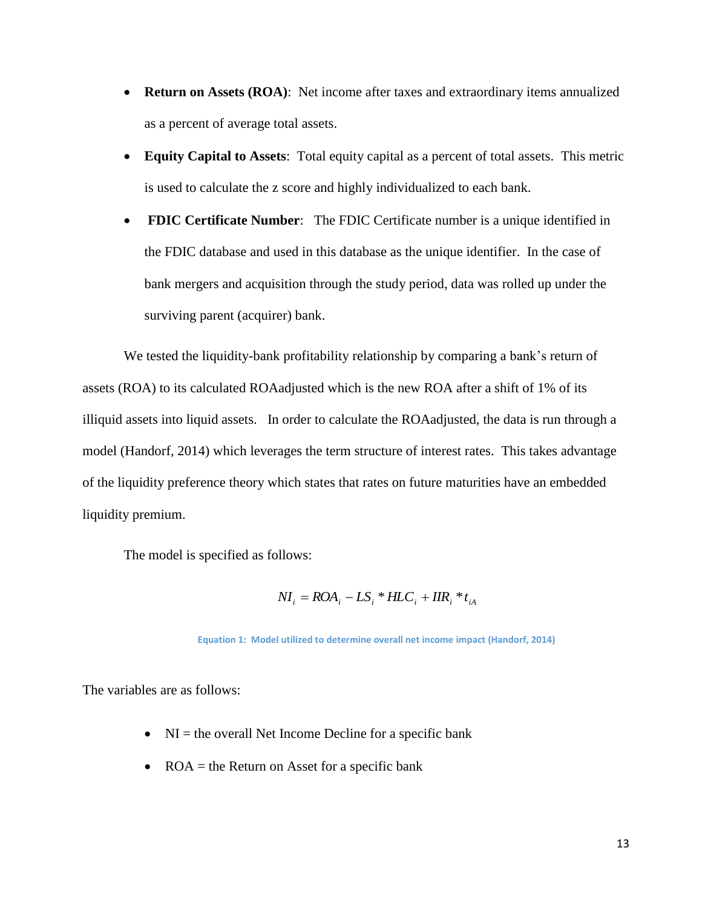- **Return on Assets (ROA)**: Net income after taxes and extraordinary items annualized as a percent of average total assets.
- **Equity Capital to Assets**: Total equity capital as a percent of total assets. This metric is used to calculate the z score and highly individualized to each bank.
- **FDIC Certificate Number**: The FDIC Certificate number is a unique identified in the FDIC database and used in this database as the unique identifier. In the case of bank mergers and acquisition through the study period, data was rolled up under the surviving parent (acquirer) bank.

We tested the liquidity-bank profitability relationship by comparing a bank's return of assets (ROA) to its calculated ROAadjusted which is the new ROA after a shift of 1% of its illiquid assets into liquid assets. In order to calculate the ROAadjusted, the data is run through a model (Handorf, 2014) which leverages the term structure of interest rates. This takes advantage of the liquidity preference theory which states that rates on future maturities have an embedded liquidity premium.

The model is specified as follows:

$$
NI_{i} = ROA_{i} - LS_{i} * HLC_{i} + IIR_{i} * t_{iA}
$$

**Equation 1: Model utilized to determine overall net income impact (Handorf, 2014)**

The variables are as follows:

- $NI =$  the overall Net Income Decline for a specific bank
- ROA  $=$  the Return on Asset for a specific bank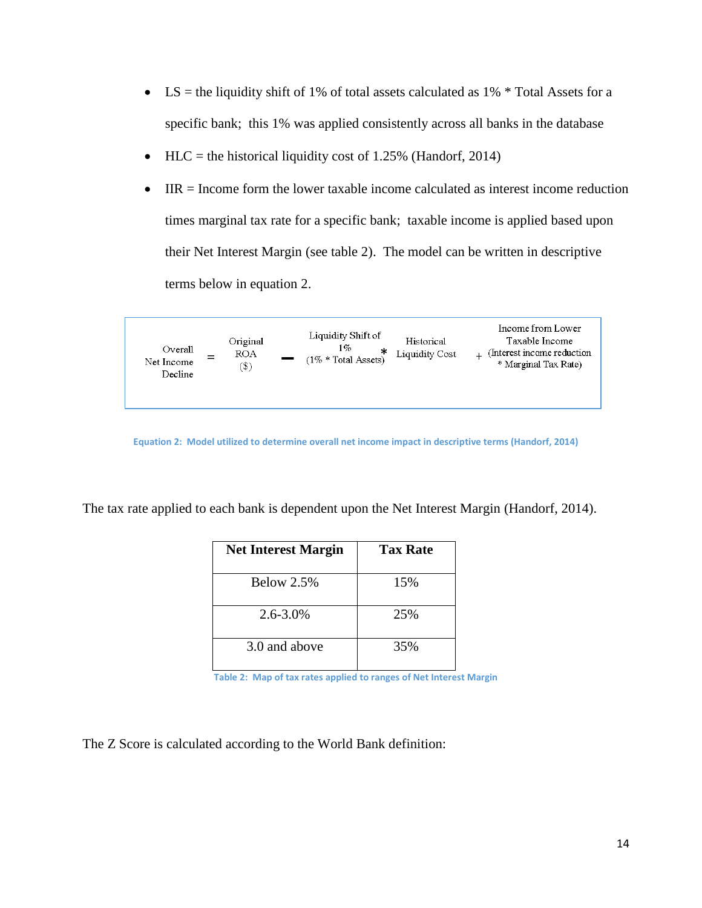- LS = the liquidity shift of 1% of total assets calculated as  $1\%$  \* Total Assets for a specific bank; this 1% was applied consistently across all banks in the database
- HLC = the historical liquidity cost of 1.25% (Handorf, 2014)
- IIR = Income form the lower taxable income calculated as interest income reduction times marginal tax rate for a specific bank; taxable income is applied based upon their Net Interest Margin (see table 2). The model can be written in descriptive terms below in equation 2.



**Equation 2: Model utilized to determine overall net income impact in descriptive terms (Handorf, 2014)**

The tax rate applied to each bank is dependent upon the Net Interest Margin (Handorf, 2014).

| <b>Net Interest Margin</b> | <b>Tax Rate</b> |
|----------------------------|-----------------|
| Below $2.5%$               | 15%             |
| $2.6 - 3.0\%$              | 25%             |
| 3.0 and above              | 35%             |

**Table 2: Map of tax rates applied to ranges of Net Interest Margin**

The Z Score is calculated according to the World Bank definition: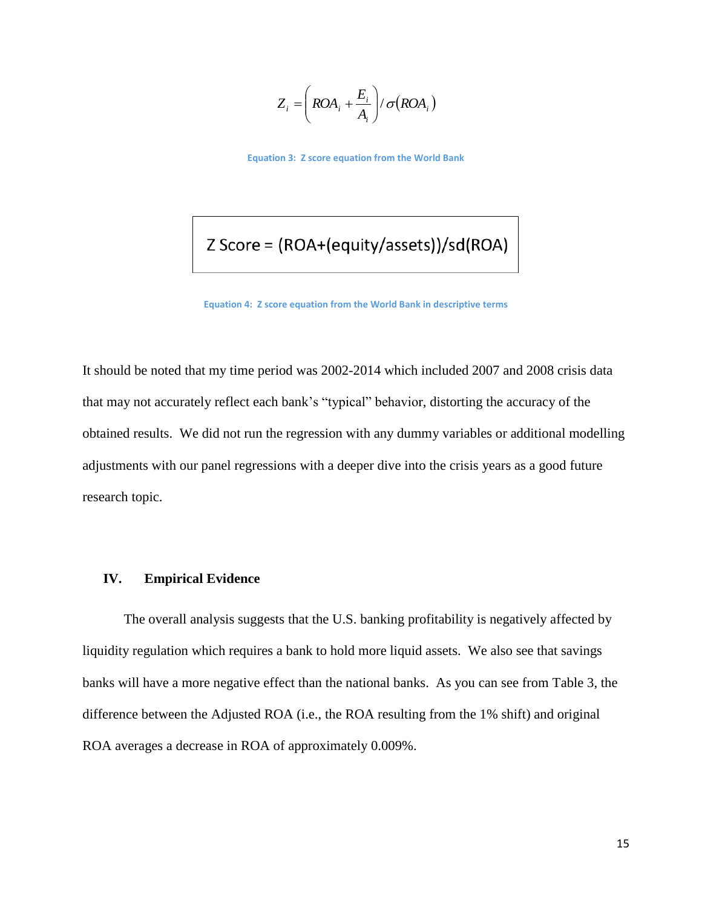$$
Z_i = \left(ROA_i + \frac{E_i}{A_i}\right) / \sigma(ROA_i)
$$

**Equation 3: Z score equation from the World Bank**

## Z Score = (ROA+(equity/assets))/sd(ROA)

**Equation 4: Z score equation from the World Bank in descriptive terms**

It should be noted that my time period was 2002-2014 which included 2007 and 2008 crisis data that may not accurately reflect each bank's "typical" behavior, distorting the accuracy of the obtained results. We did not run the regression with any dummy variables or additional modelling adjustments with our panel regressions with a deeper dive into the crisis years as a good future research topic.

#### **IV. Empirical Evidence**

The overall analysis suggests that the U.S. banking profitability is negatively affected by liquidity regulation which requires a bank to hold more liquid assets. We also see that savings banks will have a more negative effect than the national banks.As you can see from Table 3, the difference between the Adjusted ROA (i.e., the ROA resulting from the 1% shift) and original ROA averages a decrease in ROA of approximately 0.009%.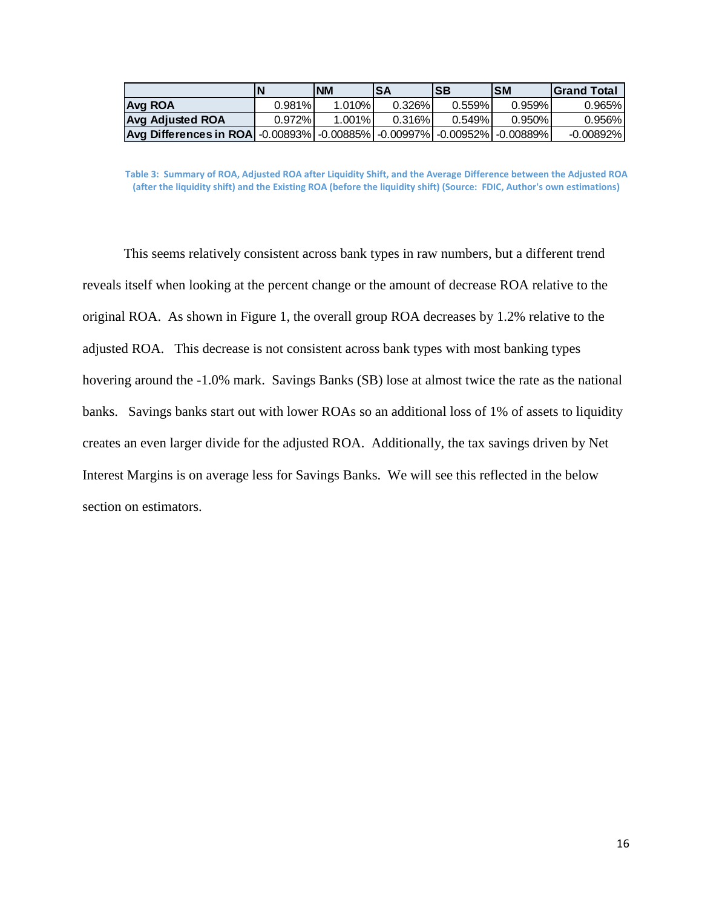|                                                                                                                                  | N         | <b>NM</b> | <b>SA</b> | <b>SB</b> | ISM    | <b>IGrand Total</b> |
|----------------------------------------------------------------------------------------------------------------------------------|-----------|-----------|-----------|-----------|--------|---------------------|
| <b>Avg ROA</b>                                                                                                                   | 0.981%    | $1.010\%$ | $0.326\%$ | $0.559\%$ | 0.959% | 0.965%              |
| <b>Avg Adjusted ROA</b>                                                                                                          | $0.972\%$ | 1.001%    | 0.316%    | 0.549%    | 0.950% | 0.956%              |
| $\vert$ Avg Differences in ROA $\vert$ -0.00893% $\vert$ -0.00885% $\vert$ -0.00997% $\vert$ -0.00952% $\vert$ -0.00889% $\vert$ |           |           |           |           |        | $-0.00892\%$        |

**Table 3: Summary of ROA, Adjusted ROA after Liquidity Shift, and the Average Difference between the Adjusted ROA (after the liquidity shift) and the Existing ROA (before the liquidity shift) (Source: FDIC, Author's own estimations)**

This seems relatively consistent across bank types in raw numbers, but a different trend reveals itself when looking at the percent change or the amount of decrease ROA relative to the original ROA. As shown in Figure 1, the overall group ROA decreases by 1.2% relative to the adjusted ROA. This decrease is not consistent across bank types with most banking types hovering around the -1.0% mark. Savings Banks (SB) lose at almost twice the rate as the national banks. Savings banks start out with lower ROAs so an additional loss of 1% of assets to liquidity creates an even larger divide for the adjusted ROA. Additionally, the tax savings driven by Net Interest Margins is on average less for Savings Banks. We will see this reflected in the below section on estimators.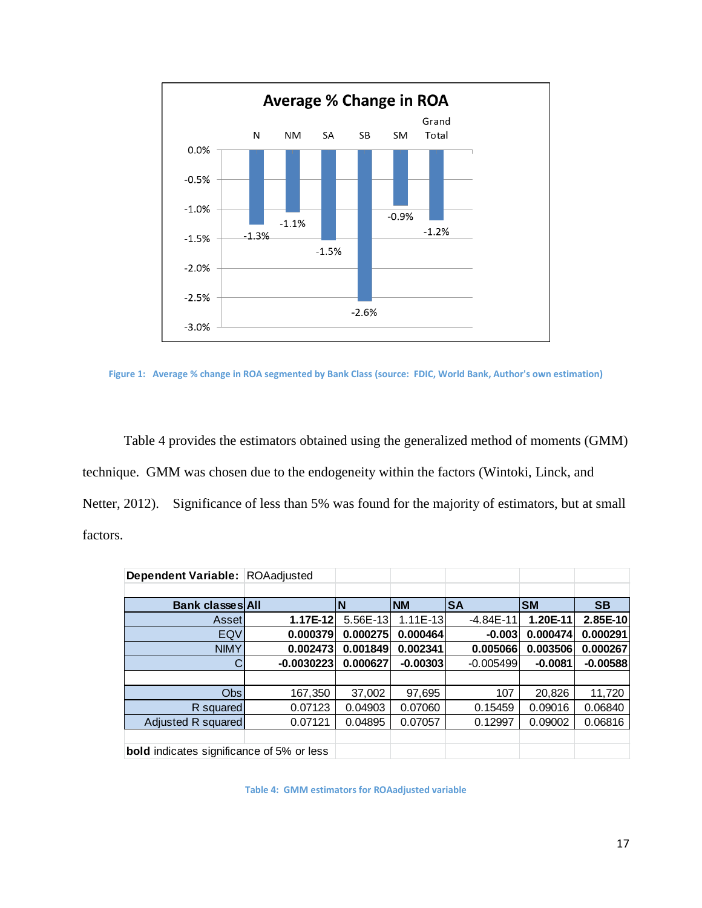

**Figure 1: Average % change in ROA segmented by Bank Class (source: FDIC, World Bank, Author's own estimation)**

Table 4 provides the estimators obtained using the generalized method of moments (GMM) technique. GMM was chosen due to the endogeneity within the factors (Wintoki, Linck, and Netter, 2012). Significance of less than 5% was found for the majority of estimators, but at small factors.

| Dependent Variable: ROAadjusted                  |              |          |            |             |           |            |
|--------------------------------------------------|--------------|----------|------------|-------------|-----------|------------|
|                                                  |              |          |            |             |           |            |
| <b>Bank classes All</b>                          |              | N        | <b>NM</b>  | <b>SA</b>   | <b>SM</b> | <b>SB</b>  |
| Asset                                            | $1.17E-12$   | 5.56E-13 | $1.11E-13$ | $-4.84E-11$ | 1.20E-11  | $2.85E-10$ |
| EQV                                              | 0.000379     | 0.000275 | 0.000464   | $-0.003$    | 0.000474  | 0.000291   |
| <b>NIMY</b>                                      | 0.002473     | 0.001849 | 0.002341   | 0.005066    | 0.003506  | 0.000267   |
|                                                  | $-0.0030223$ | 0.000627 | $-0.00303$ | $-0.005499$ | $-0.0081$ | $-0.00588$ |
|                                                  |              |          |            |             |           |            |
| <b>Obs</b>                                       | 167,350      | 37,002   | 97,695     | 107         | 20,826    | 11,720     |
| R squared                                        | 0.07123      | 0.04903  | 0.07060    | 0.15459     | 0.09016   | 0.06840    |
| Adjusted R squared                               | 0.07121      | 0.04895  | 0.07057    | 0.12997     | 0.09002   | 0.06816    |
|                                                  |              |          |            |             |           |            |
| <b>bold</b> indicates significance of 5% or less |              |          |            |             |           |            |

**Table 4: GMM estimators for ROAadjusted variable**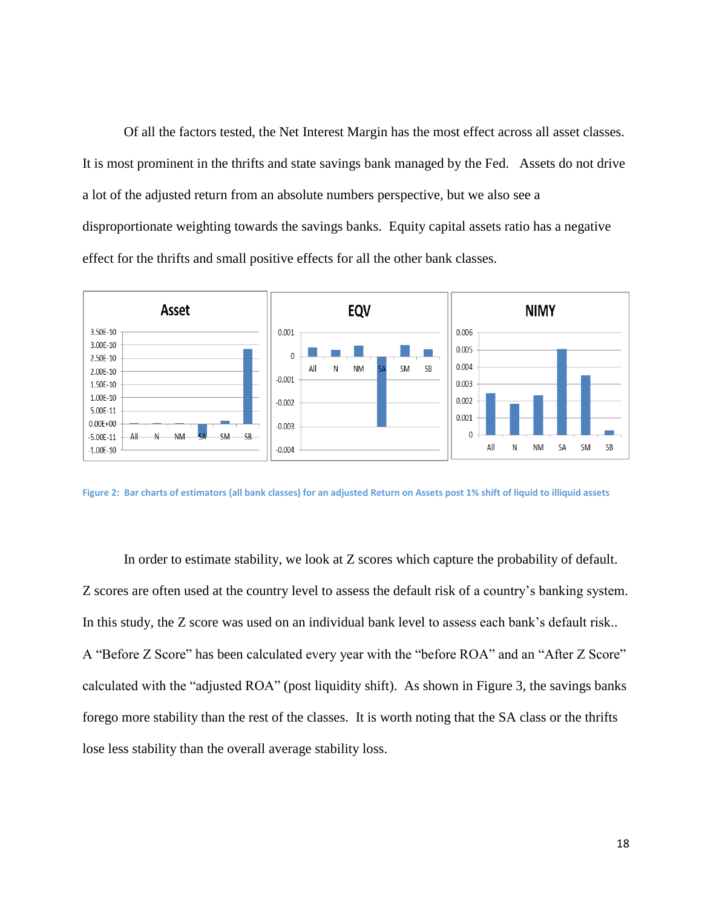Of all the factors tested, the Net Interest Margin has the most effect across all asset classes. It is most prominent in the thrifts and state savings bank managed by the Fed. Assets do not drive a lot of the adjusted return from an absolute numbers perspective, but we also see a disproportionate weighting towards the savings banks. Equity capital assets ratio has a negative effect for the thrifts and small positive effects for all the other bank classes.



**Figure 2: Bar charts of estimators (all bank classes) for an adjusted Return on Assets post 1% shift of liquid to illiquid assets**

In order to estimate stability, we look at Z scores which capture the probability of default. Z scores are often used at the country level to assess the default risk of a country's banking system. In this study, the Z score was used on an individual bank level to assess each bank's default risk.. A "Before Z Score" has been calculated every year with the "before ROA" and an "After Z Score" calculated with the "adjusted ROA" (post liquidity shift). As shown in Figure 3, the savings banks forego more stability than the rest of the classes. It is worth noting that the SA class or the thrifts lose less stability than the overall average stability loss.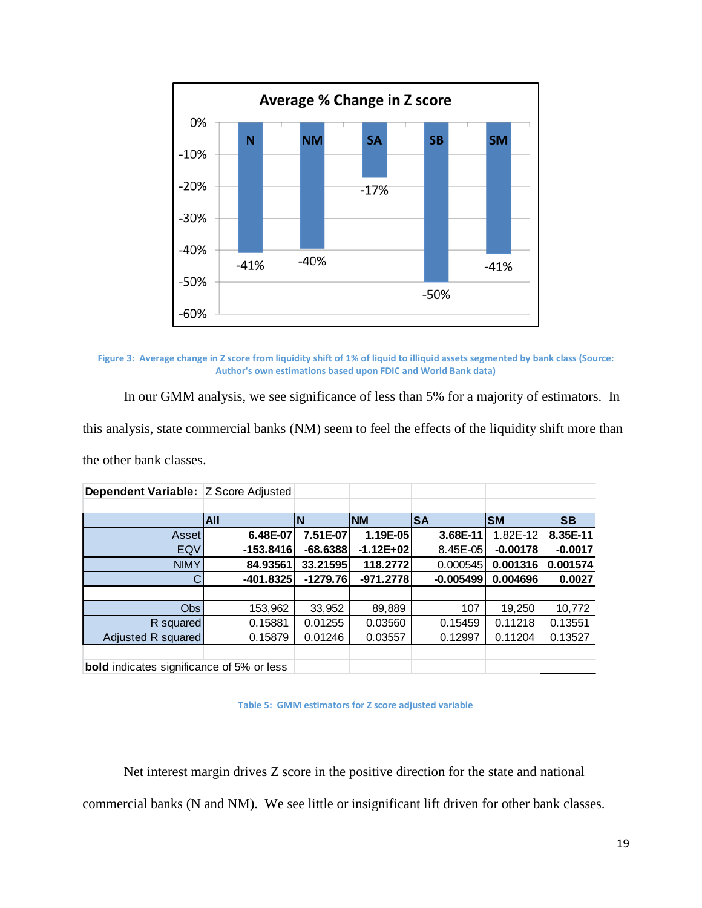

**Figure 3: Average change in Z score from liquidity shift of 1% of liquid to illiquid assets segmented by bank class (Source: Author's own estimations based upon FDIC and World Bank data)**

In our GMM analysis, we see significance of less than 5% for a majority of estimators. In this analysis, state commercial banks (NM) seem to feel the effects of the liquidity shift more than the other bank classes.

| <b>Dependent Variable: Z Score Adjusted</b>      |             |            |             |             |            |           |
|--------------------------------------------------|-------------|------------|-------------|-------------|------------|-----------|
|                                                  |             |            |             |             |            |           |
|                                                  | <b>AII</b>  | <b>N</b>   | <b>INM</b>  | <b>SA</b>   | <b>SM</b>  | <b>SB</b> |
| Asset                                            | 6.48E-07    | 7.51E-07   | 1.19E-05    | 3.68E-11    | 1.82E-12   | 8.35E-11  |
| EQV                                              | $-153.8416$ | $-68.6388$ | $-1.12E+02$ | 8.45E-05    | $-0.00178$ | $-0.0017$ |
| <b>NIMY</b>                                      | 84.93561    | 33.21595   | 118.2772    | 0.000545    | 0.001316   | 0.001574  |
| С                                                | $-401.8325$ | $-1279.76$ | $-971.2778$ | $-0.005499$ | 0.004696   | 0.0027    |
|                                                  |             |            |             |             |            |           |
| Obs                                              | 153,962     | 33,952     | 89,889      | 107         | 19,250     | 10,772    |
| R squared                                        | 0.15881     | 0.01255    | 0.03560     | 0.15459     | 0.11218    | 0.13551   |
| Adjusted R squared                               | 0.15879     | 0.01246    | 0.03557     | 0.12997     | 0.11204    | 0.13527   |
|                                                  |             |            |             |             |            |           |
| <b>bold</b> indicates significance of 5% or less |             |            |             |             |            |           |

**Table 5: GMM estimators for Z score adjusted variable**

Net interest margin drives Z score in the positive direction for the state and national

commercial banks (N and NM). We see little or insignificant lift driven for other bank classes.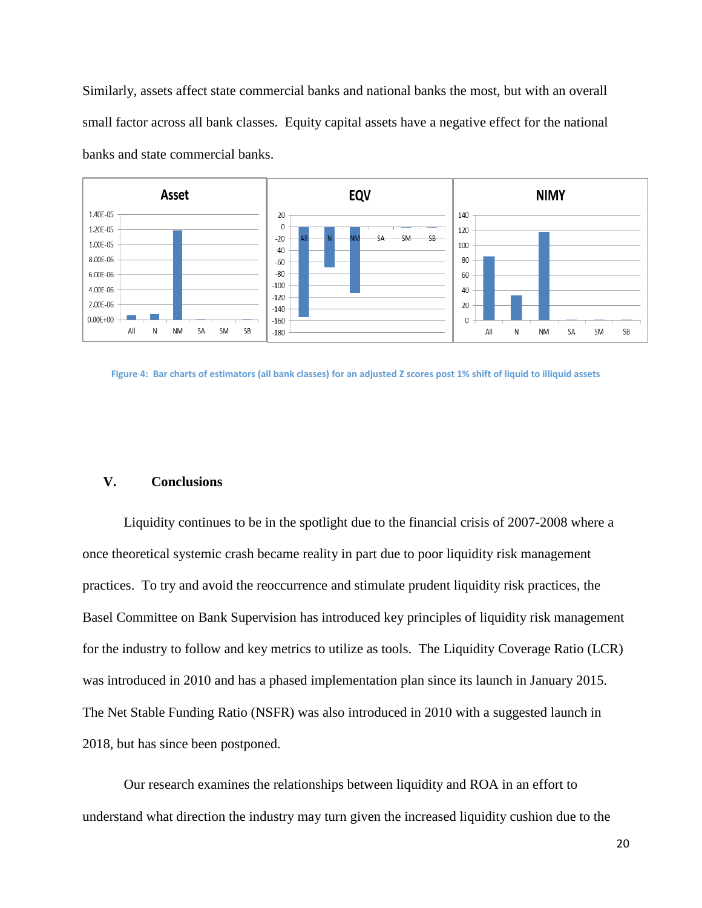Similarly, assets affect state commercial banks and national banks the most, but with an overall small factor across all bank classes. Equity capital assets have a negative effect for the national banks and state commercial banks.



**Figure 4: Bar charts of estimators (all bank classes) for an adjusted Z scores post 1% shift of liquid to illiquid assets**

#### **V. Conclusions**

Liquidity continues to be in the spotlight due to the financial crisis of 2007-2008 where a once theoretical systemic crash became reality in part due to poor liquidity risk management practices. To try and avoid the reoccurrence and stimulate prudent liquidity risk practices, the Basel Committee on Bank Supervision has introduced key principles of liquidity risk management for the industry to follow and key metrics to utilize as tools. The Liquidity Coverage Ratio (LCR) was introduced in 2010 and has a phased implementation plan since its launch in January 2015. The Net Stable Funding Ratio (NSFR) was also introduced in 2010 with a suggested launch in 2018, but has since been postponed.

Our research examines the relationships between liquidity and ROA in an effort to understand what direction the industry may turn given the increased liquidity cushion due to the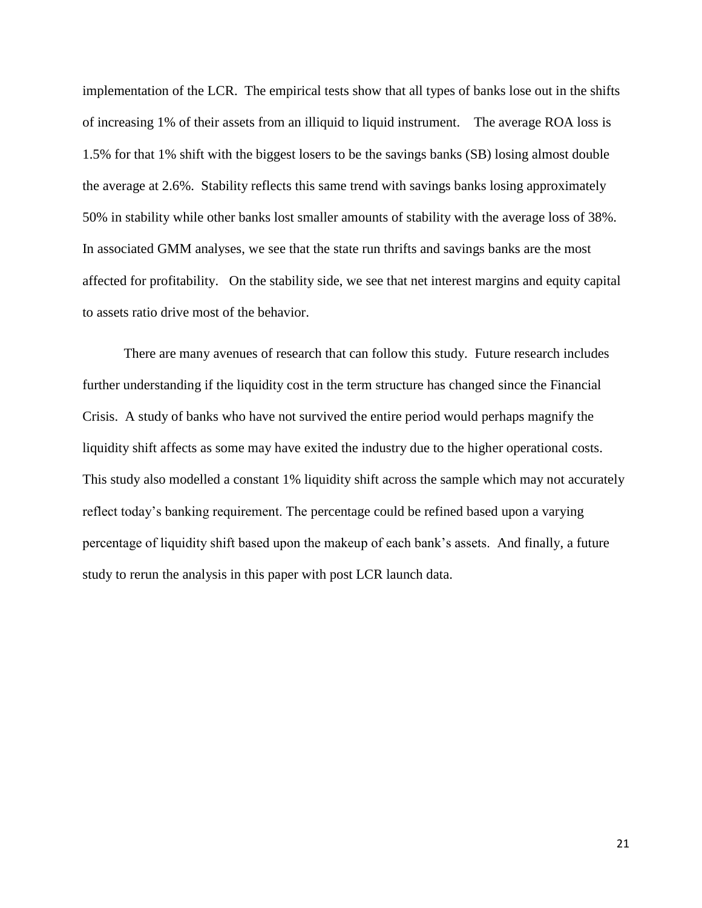implementation of the LCR. The empirical tests show that all types of banks lose out in the shifts of increasing 1% of their assets from an illiquid to liquid instrument. The average ROA loss is 1.5% for that 1% shift with the biggest losers to be the savings banks (SB) losing almost double the average at 2.6%. Stability reflects this same trend with savings banks losing approximately 50% in stability while other banks lost smaller amounts of stability with the average loss of 38%. In associated GMM analyses, we see that the state run thrifts and savings banks are the most affected for profitability. On the stability side, we see that net interest margins and equity capital to assets ratio drive most of the behavior.

There are many avenues of research that can follow this study. Future research includes further understanding if the liquidity cost in the term structure has changed since the Financial Crisis. A study of banks who have not survived the entire period would perhaps magnify the liquidity shift affects as some may have exited the industry due to the higher operational costs. This study also modelled a constant 1% liquidity shift across the sample which may not accurately reflect today's banking requirement. The percentage could be refined based upon a varying percentage of liquidity shift based upon the makeup of each bank's assets. And finally, a future study to rerun the analysis in this paper with post LCR launch data.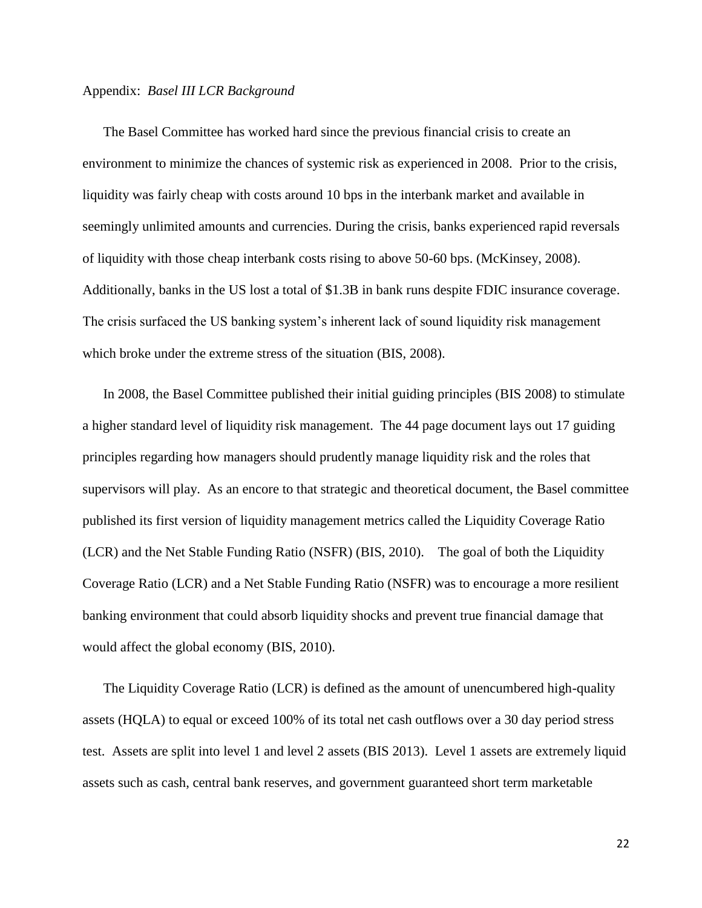#### Appendix: *Basel III LCR Background*

The Basel Committee has worked hard since the previous financial crisis to create an environment to minimize the chances of systemic risk as experienced in 2008. Prior to the crisis, liquidity was fairly cheap with costs around 10 bps in the interbank market and available in seemingly unlimited amounts and currencies. During the crisis, banks experienced rapid reversals of liquidity with those cheap interbank costs rising to above 50-60 bps. (McKinsey, 2008). Additionally, banks in the US lost a total of \$1.3B in bank runs despite FDIC insurance coverage. The crisis surfaced the US banking system's inherent lack of sound liquidity risk management which broke under the extreme stress of the situation (BIS, 2008).

In 2008, the Basel Committee published their initial guiding principles (BIS 2008) to stimulate a higher standard level of liquidity risk management. The 44 page document lays out 17 guiding principles regarding how managers should prudently manage liquidity risk and the roles that supervisors will play. As an encore to that strategic and theoretical document, the Basel committee published its first version of liquidity management metrics called the Liquidity Coverage Ratio (LCR) and the Net Stable Funding Ratio (NSFR) (BIS, 2010). The goal of both the Liquidity Coverage Ratio (LCR) and a Net Stable Funding Ratio (NSFR) was to encourage a more resilient banking environment that could absorb liquidity shocks and prevent true financial damage that would affect the global economy (BIS, 2010).

The Liquidity Coverage Ratio (LCR) is defined as the amount of unencumbered high-quality assets (HQLA) to equal or exceed 100% of its total net cash outflows over a 30 day period stress test. Assets are split into level 1 and level 2 assets (BIS 2013). Level 1 assets are extremely liquid assets such as cash, central bank reserves, and government guaranteed short term marketable

22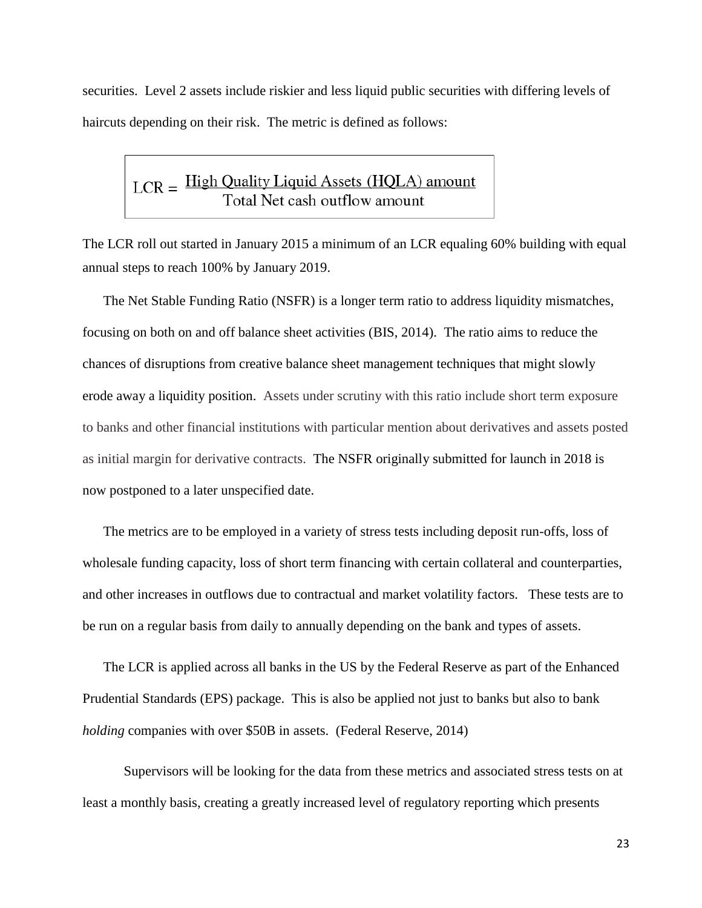securities. Level 2 assets include riskier and less liquid public securities with differing levels of haircuts depending on their risk. The metric is defined as follows:

# $LCR =$   $\frac{\text{High Quality Liquid Assets (HQLA) amount}}{\text{Total Net cash outflow amount}}$

The LCR roll out started in January 2015 a minimum of an LCR equaling 60% building with equal annual steps to reach 100% by January 2019.

The Net Stable Funding Ratio (NSFR) is a longer term ratio to address liquidity mismatches, focusing on both on and off balance sheet activities (BIS, 2014). The ratio aims to reduce the chances of disruptions from creative balance sheet management techniques that might slowly erode away a liquidity position. Assets under scrutiny with this ratio include short term exposure to banks and other financial institutions with particular mention about derivatives and assets posted as initial margin for derivative contracts. The NSFR originally submitted for launch in 2018 is now postponed to a later unspecified date.

The metrics are to be employed in a variety of stress tests including deposit run-offs, loss of wholesale funding capacity, loss of short term financing with certain collateral and counterparties, and other increases in outflows due to contractual and market volatility factors. These tests are to be run on a regular basis from daily to annually depending on the bank and types of assets.

The LCR is applied across all banks in the US by the Federal Reserve as part of the Enhanced Prudential Standards (EPS) package. This is also be applied not just to banks but also to bank *holding* companies with over \$50B in assets. (Federal Reserve, 2014)

Supervisors will be looking for the data from these metrics and associated stress tests on at least a monthly basis, creating a greatly increased level of regulatory reporting which presents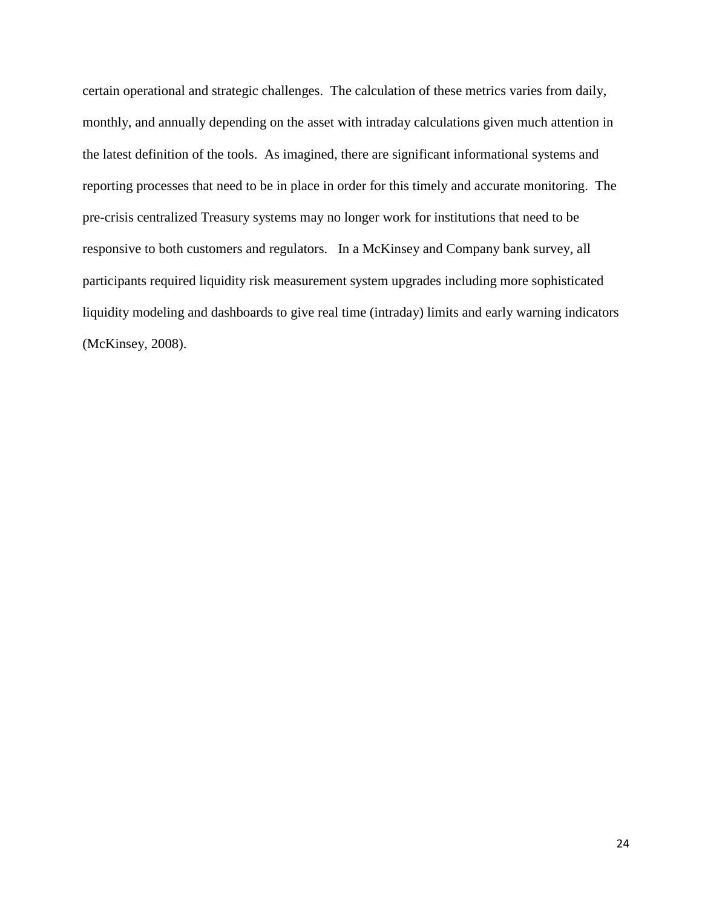certain operational and strategic challenges. The calculation of these metrics varies from daily, monthly, and annually depending on the asset with intraday calculations given much attention in the latest definition of the tools. As imagined, there are significant informational systems and reporting processes that need to be in place in order for this timely and accurate monitoring. The pre-crisis centralized Treasury systems may no longer work for institutions that need to be responsive to both customers and regulators. In a McKinsey and Company bank survey, all participants required liquidity risk measurement system upgrades including more sophisticated liquidity modeling and dashboards to give real time (intraday) limits and early warning indicators (McKinsey, 2008).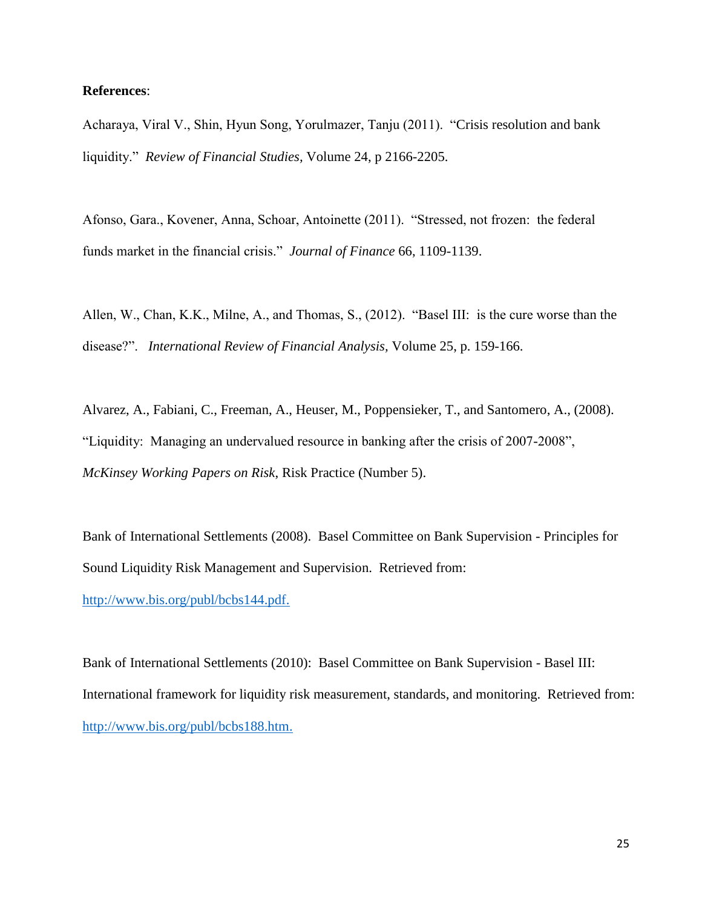#### **References**:

Acharaya, Viral V., Shin, Hyun Song, Yorulmazer, Tanju (2011). "Crisis resolution and bank liquidity." *Review of Financial Studies,* Volume 24, p 2166-2205.

Afonso, Gara., Kovener, Anna, Schoar, Antoinette (2011). "Stressed, not frozen: the federal funds market in the financial crisis." *Journal of Finance* 66, 1109-1139.

Allen, W., Chan, K.K., Milne, A., and Thomas, S., (2012). "Basel III: is the cure worse than the disease?". *International Review of Financial Analysis,* Volume 25, p. 159-166.

Alvarez, A., Fabiani, C., Freeman, A., Heuser, M., Poppensieker, T., and Santomero, A., (2008). "Liquidity: Managing an undervalued resource in banking after the crisis of 2007-2008", *McKinsey Working Papers on Risk*, Risk Practice (Number 5).

Bank of International Settlements (2008). Basel Committee on Bank Supervision - Principles for Sound Liquidity Risk Management and Supervision.Retrieved from:

[http://www.bis.org/publ/bcbs144.pdf.](http://www.bis.org/publ/bcbs144.pdf)

Bank of International Settlements (2010): Basel Committee on Bank Supervision - Basel III: International framework for liquidity risk measurement, standards, and monitoring. Retrieved from: [http://www.bis.org/publ/bcbs188.htm.](http://www.bis.org/publ/bcbs188.htm)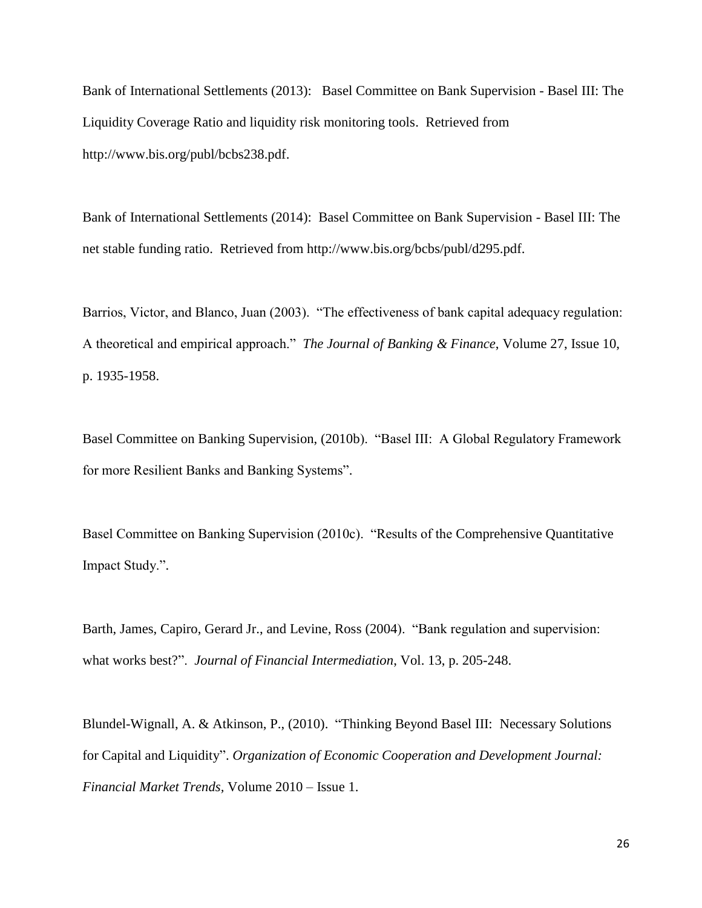Bank of International Settlements (2013): Basel Committee on Bank Supervision - Basel III: The Liquidity Coverage Ratio and liquidity risk monitoring tools. Retrieved from http://www.bis.org/publ/bcbs238.pdf.

Bank of International Settlements (2014): Basel Committee on Bank Supervision - Basel III: The net stable funding ratio. Retrieved from http://www.bis.org/bcbs/publ/d295.pdf.

Barrios, Victor, and Blanco, Juan (2003). "The effectiveness of bank capital adequacy regulation: A theoretical and empirical approach." *The Journal of Banking & Finance*, Volume 27, Issue 10, p. 1935-1958.

Basel Committee on Banking Supervision, (2010b). "Basel III: A Global Regulatory Framework for more Resilient Banks and Banking Systems".

Basel Committee on Banking Supervision (2010c). "Results of the Comprehensive Quantitative Impact Study.".

Barth, James, Capiro, Gerard Jr., and Levine, Ross (2004). "Bank regulation and supervision: what works best?". *Journal of Financial Intermediation*, Vol. 13, p. 205-248.

Blundel-Wignall, A. & Atkinson, P., (2010). "Thinking Beyond Basel III: Necessary Solutions for Capital and Liquidity". *Organization of Economic Cooperation and Development Journal: Financial Market Trends,* Volume 2010 – Issue 1.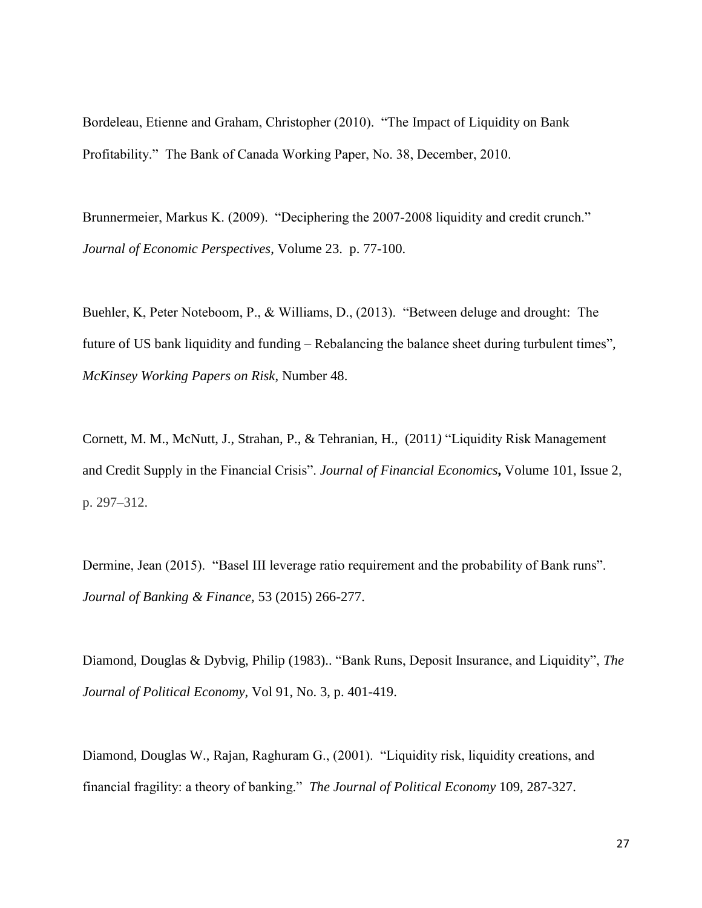Bordeleau, Etienne and Graham, Christopher (2010). "The Impact of Liquidity on Bank Profitability." The Bank of Canada Working Paper, No. 38, December, 2010.

Brunnermeier, Markus K. (2009). "Deciphering the 2007-2008 liquidity and credit crunch." *Journal of Economic Perspectives*, Volume 23. p. 77-100.

Buehler, K, Peter Noteboom, P., & Williams, D., (2013). "Between deluge and drought: The future of US bank liquidity and funding – Rebalancing the balance sheet during turbulent times"*, McKinsey Working Papers on Risk*, Number 48.

Cornett, M. M., McNutt, J., Strahan, P., & Tehranian, H., (2011*)* "Liquidity Risk Management and Credit Supply in the Financial Crisis". *Journal of Financial [Economics](http://www.sciencedirect.com/science/journal/0304405X)***,** [Volume](http://www.sciencedirect.com/science/journal/0304405X/101/2) 101, Issue 2, p. 297–312.

Dermine, Jean (2015). "Basel III leverage ratio requirement and the probability of Bank runs". *Journal of Banking & Finance,* 53 (2015) 266-277.

Diamond, Douglas & Dybvig, Philip (1983).. "Bank Runs, Deposit Insurance, and Liquidity", *The Journal of Political Economy,* Vol 91, No. 3, p. 401-419.

Diamond, Douglas W., Rajan, Raghuram G., (2001). "Liquidity risk, liquidity creations, and financial fragility: a theory of banking." *The Journal of Political Economy* 109, 287-327.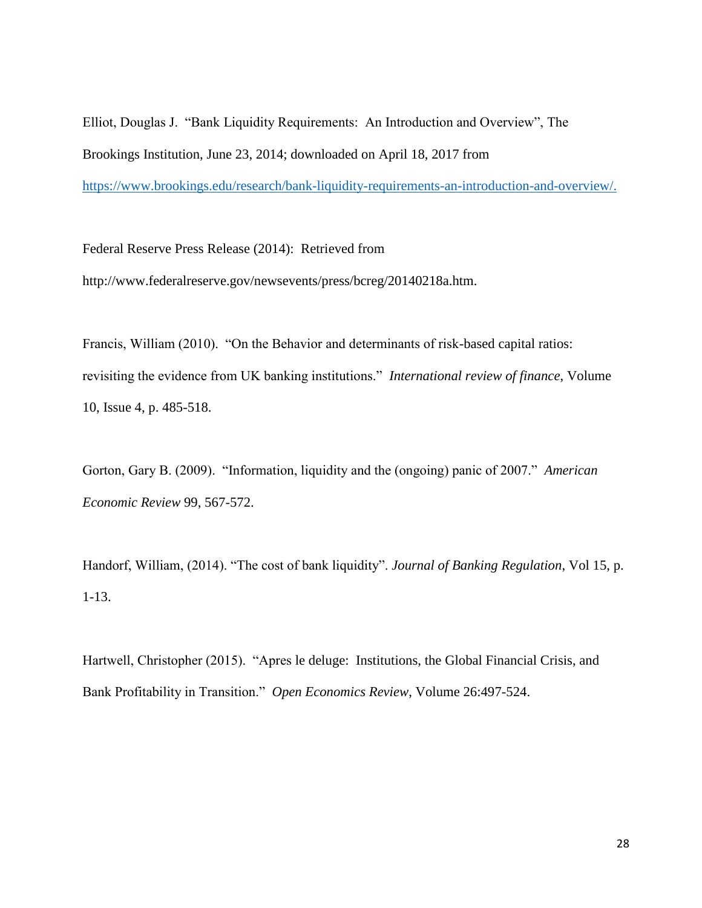Elliot, Douglas J. "Bank Liquidity Requirements: An Introduction and Overview", The Brookings Institution, June 23, 2014; downloaded on April 18, 2017 from [https://www.brookings.edu/research/bank-liquidity-requirements-an-introduction-and-overview/.](https://www.brookings.edu/research/bank-liquidity-requirements-an-introduction-and-overview/)

Federal Reserve Press Release (2014): Retrieved from http://www.federalreserve.gov/newsevents/press/bcreg/20140218a.htm.

Francis, William (2010). "On the Behavior and determinants of risk-based capital ratios: revisiting the evidence from UK banking institutions." *International review of finance*, Volume 10, Issue 4, p. 485-518.

Gorton, Gary B. (2009). "Information, liquidity and the (ongoing) panic of 2007." *American Economic Review* 99, 567-572.

Handorf, William, (2014). "The cost of bank liquidity". *Journal of Banking Regulation*, Vol 15, p. 1-13.

Hartwell, Christopher (2015). "Apres le deluge: Institutions, the Global Financial Crisis, and Bank Profitability in Transition." *Open Economics Review*, Volume 26:497-524.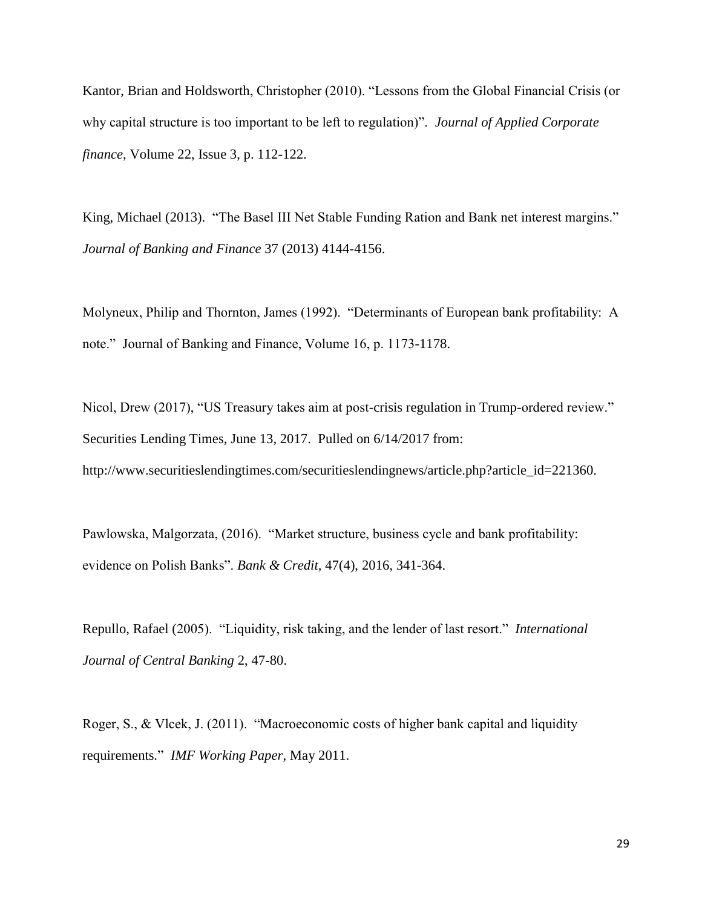Kantor, Brian and Holdsworth, Christopher (2010). "Lessons from the Global Financial Crisis (or why capital structure is too important to be left to regulation)". *Journal of Applied Corporate finance*, Volume 22, Issue 3, p. 112-122.

King, Michael (2013). "The Basel III Net Stable Funding Ration and Bank net interest margins." *Journal of Banking and Finance* 37 (2013) 4144-4156.

Molyneux, Philip and Thornton, James (1992). "Determinants of European bank profitability: A note." Journal of Banking and Finance, Volume 16, p. 1173-1178.

Nicol, Drew (2017), "US Treasury takes aim at post-crisis regulation in Trump-ordered review." Securities Lending Times, June 13, 2017. Pulled on 6/14/2017 from: http://www.securitieslendingtimes.com/securitieslendingnews/article.php?article\_id=221360.

Pawlowska, Malgorzata, (2016). "Market structure, business cycle and bank profitability: evidence on Polish Banks". *Bank & Credit,* 47(4), 2016, 341-364.

Repullo, Rafael (2005). "Liquidity, risk taking, and the lender of last resort." *International Journal of Central Banking* 2, 47-80.

Roger, S., & Vlcek, J. (2011). "Macroeconomic costs of higher bank capital and liquidity requirements*.*" *IMF Working Paper*, May 2011.